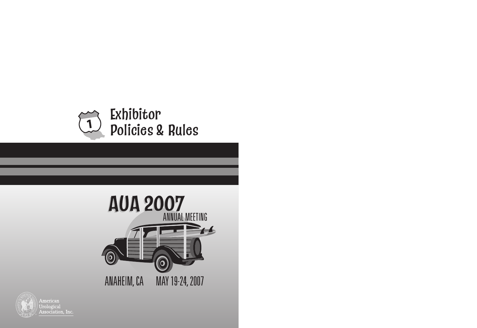



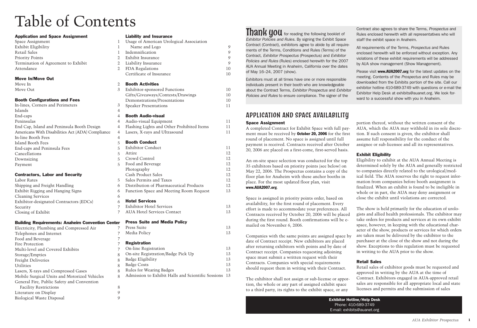#### **Space Assignment**

A completed Contract for Exhibit Space with full payment must be received by **October 20, 2006** for the first round of placement. No space is assigned until full payment is received. Contracts received after October 20, 2006 are placed on a first-come, first-served basis.

An on-site space selection was conducted for the top 35 exhibitors based on priority points (see below) on May 22, 2006. The Prospectus contains a copy of the floor plan for Anaheim with these anchor booths in

place. For the most updated floor plan, visit

**www.AUA2007.org**.

Space is assigned in priority points order, based on availability, for the first round of placement. Every effort is made to accommodate your preferences. All Contracts received by October 20, 2006 will be placed during the first round. Booth confirmations will be e-

mailed on November 6, 2006.

Companies with the same points are assigned space by date of Contract receipt. New exhibitors are placed after returning exhibitors with points and by date of Contract receipt. Companies requesting adjoining space must submit a written request with their Contracts. Companies with special requirements should request them in writing with their Contract.

The exhibitor shall not assign or sub-license or apportion, the whole or any part of assigned exhibit space to a third party, its rights to the exhibit space, or any

portion thereof, without the written consent of the AUA, which the AUA may withhold in its sole discretion. If such consent is given, the exhibitor shall assume full responsibility for the conduct of the assignee or sub-licensee and all its representatives.

#### **Exhibit Eligibility**



Eligibility to exhibit at the AUA Annual Meeting is determined solely by the AUA and generally restricted to companies directly related to the urological/medical field. The AUA reserves the right to request information from companies before booth assignment is finalized. When an exhibit is found to be ineligible in whole or in part, the AUA may deny assignment or close the exhibit until violations are corrected.

Space Assignment 1 Exhibit Eligibility 1 Retail Sales Priority Points 2 Termination of Agreement to Exhibit 2 Attendance

> The show is held primarily for the education of urologists and allied health professionals. The exhibitor may take orders for products and services at its own exhibit space, however, in keeping with the educational character of the show, products or services for which orders are taken must be delivered by the exhibitor to the purchaser at the close of the show and not during the show. Exceptions to this regulation must be requested in writing to the AUA prior to the show.

Labor Rates Shipping and Freight Handling 6 Exhibit Rigging and Hanging Signs Cleaning Services Exhibitor-designated Contractors (EDCs) 6 Security Closing of Exhibit 7

#### **Building Requirements: Anaheim Convention Center**

Electricity, Plumbing and Compressed Air 7 Telephones and Internet Food and Beverage Fire Protection Multi-level and Covered Exhibits 7 Storage/Empties Freight Deliveries Utilities Lasers, X-rays and Compressed Gases Mobile Surgical Units and Motorized Vehicles 8 General Fire, Public Safety and Convention Facility Restrictions 8 Literature on Display 9 Biological Waste Disposal 9

## **Retail Sales**

Retail sales of exhibitor goods must be requested and approved in writing by the AUA at the time of Contract. Exhibitors engaged in AUA-approved retail sales are responsible for all appropriate local and state licenses and permits and the submission of sales

# APPLICATION AND SPACE AVAILABILITY

*Exhibitor Policies and Rules.* By signing the Exhibit Space Contract (Contract), exhibitors agree to abide by all requirements of the Terms, Conditions and Rules (Terms) of the Contract, *Exhibitor Prospectus* (Prospectus) and *Exhibitor Policies and Rules* (Rules) enclosed herewith for the 2007 AUA Annual Meeting in Anaheim, California over the dates

| On-line Registration                               | 13  |
|----------------------------------------------------|-----|
| On-site Registration/Badge Pick Up                 | 13  |
| Badge Eligibility                                  | 13  |
| <b>Badge Costs</b>                                 | 13  |
| Rules for Wearing Badges                           | 13  |
| Admission to Exhibit Halls and Scientific Sessions | -13 |

# **Thank you** for reading the following booklet of

of May 16–24, 2007 (show). Exhibitors must at all times have one or more responsible individuals present in their booth who are knowledgeable

about the Contract Terms, *Exhibitor Prospectus* and *Exhibitor Policies and Rules* to ensure compliance. The signer of the

Contract also agrees to share the Terms, *Prospectus* and Rules enclosed herewith with all representatives who will staff the exhibit space in Anaheim.

All requirements of the Terms, *Prospectus* and Rules enclosed herewith will be enforced without exception. Any violations of these exhibit requirements will be addressed by AUA show management (Show Management).

Please visit **www.AUA2007.org** for the latest updates on the meeting. Contents of the *Prospectus* and Rules may be downloaded from the Exhibits portion of the site. Call our exhibitor hotline 410-689-3749 with questions or e-mail the Exhibitor Help Desk at exhibits@auanet.org. We look forward to a successful show with you in Anaheim.

**Exhibitor Hotline/Help Desk** Phone: 410-689-3749 E-mail: exhibits@auanet.org

#### **Application and Space Assignment**

#### **Move In/Move Out**

| Move In  |  |
|----------|--|
| Move Out |  |

#### **Booth Configurations and Fees**

In-lines, Corners and Perimeters Islands 4 End-caps 4 Peninsulas End Cap, Island and Peninsula Booth Design 4 Americans With Disabilities Act (ADA) Compliance 4 In-line Booth Fees 4 Island Booth Fees 5 End-caps and Peninsula Fees 5 **Cancellations** Downsizing 5 Payment

#### **Contractors, Labor and Security**

#### **Liability and Insurance**

| $\mathbf{1}$   | Usage of American Urological Association   |    |
|----------------|--------------------------------------------|----|
| 1              | Name and Logo                              | 9  |
| 1              | Indemnification                            | 9  |
| 2              | Exhibit Insurance                          | 9  |
| 2              | Liability Insurance                        | 9  |
| 2              | FDA Regulations                            | 10 |
|                | Certificate of Insurance                   | 10 |
| 2              | <b>Booth Activities</b>                    |    |
| 3              | Exhibitor-sponsored Functions              | 10 |
|                | Gifts/Giveaways/Contests/Drawings          | 10 |
|                | Demonstrations/Presentations               | 10 |
| 3              | <b>Speaker Presentations</b>               | 11 |
| 4              |                                            |    |
| 4              | <b>Booth Audio-visual</b>                  |    |
| 4              | Audio-visual Equipment                     | 11 |
| 4              | Flashing Lights and Other Prohibited Items | 11 |
| 4              | Lasers, X-rays and Ultrasound              | 11 |
| 4              |                                            |    |
| 5              | <b>Booth Conduct</b>                       |    |
| 5              | <b>Exhibitor Conduct</b>                   | 11 |
| 5              | Attire                                     | 12 |
| 5              | Crowd Control                              | 12 |
| 5              | Food and Beverage                          | 12 |
|                | Photography                                | 12 |
|                | Cash Product Sales                         | 12 |
| 5              | Sales Permits and Taxes                    | 12 |
| 6              | Distribution of Pharmaceutical Products    | 12 |
| 6<br>6         | Function Space and Meeting Room Request    | 13 |
| 6              | <b>Hotel Services</b>                      |    |
| 7              | <b>Exhibitor Hotel Services</b>            | 13 |
| $\overline{7}$ | <b>AUA Hotel Services Contact</b>          | 13 |
| ìľ,            | <b>Press Suite and Media Policy</b>        |    |
| $\overline{7}$ | Press Suite                                | 13 |
| $\overline{7}$ | Media Policy                               | 13 |
| $\overline{7}$ |                                            |    |
| $\overline{7}$ | <b>Registration</b>                        |    |
|                |                                            |    |

# Table of Contents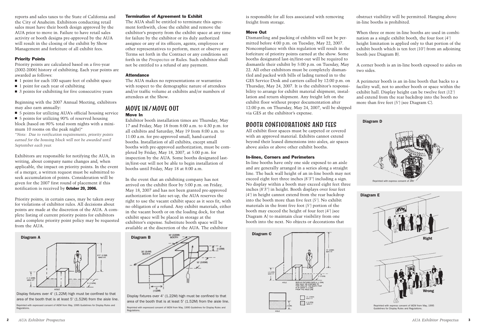is responsible for all fees associated with removing freight from storage.

#### **Move Out**

Dismantling and packing of exhibits will not be permitted before 4:00 p.m. on Tuesday, May 22, 2007. Noncompliance with this regulation will result in the forfeiture of priority points earned at the show. Some booths designated last-in/first-out will be required to dismantle their exhibit by 5:00 p.m. on Tuesday, May 22. All other exhibitors must be completely dismantled and packed with bills of lading turned in to the GES Service Desk and carriers called by 12:00 p.m. on Thursday, May 24, 2007. It is the exhibitor's responsibility to arrange for exhibit material shipment, installation and return shipment. Any freight left on the exhibit floor without proper documentation after 12:00 p.m. on Thursday, May 24, 2007, will be shipped via GES at the exhibitor's expense.

## BOOTH CONFIGURATIONS AND FEES

All exhibit floor spaces must be carpeted or covered with an approved material. Exhibits cannot extend beyond their leased dimensions into aisles, air spaces above aisles or above other exhibit booths.

#### **In-lines, Corners and Perimeters**

In-line booths have only one side exposed to an aisle and are generally arranged in a series along a straight line. The back wall height of an in-line booth may not exceed eight feet three inches (8'3") including a sign. No display within a booth may exceed eight feet three inches (8'3") in height. Booth displays over four feet (4') in height cannot extend from the rear backdrop into the booth more than five feet (5'). No exhibit materials in the front five foot (5') portion of the booth may exceed the height of four feet (4') (see Diagram A) to maintain clear visibility from one booth into the next. No objects or decorations that

obstruct visibility will be permitted. Hanging above in-line booths is prohibited.

When three or more in-line booths are used in combination as a single exhibit booth, the four foot (4') height limitation is applied only to that portion of the exhibit booth which is ten feet (10') from an adjoining booth (see Diagram B).

A corner booth is an in-line booth exposed to aisles on two sides.

A perimeter booth is an in-line booth that backs to a facility wall, not to another booth or space within the exhibit hall. Display height can be twelve feet (12') and extend from the rear backdrop into the booth no more than five feet (5') (see Diagram C).

reports and sales taxes to the State of California and the City of Anaheim. Exhibitors conducting retail sales must have their booth design approved by the AUA prior to move in. Failure to have retail sales activity or booth designs pre-approved by the AUA will result in the closing of the exhibit by Show Management and forfeiture of all exhibit fees.

#### **Priority Points**

Priority points are calculated based on a five-year (2002-2006) history of exhibiting. Each year points are awarded as follows:

- 1 point for each 100 square feet of exhibit space
- 1 point for each year of exhibiting
- 3 points for exhibiting for five consecutive years

Beginning with the 2007 Annual Meeting, exhibitors may also earn annually:

■ 5 points for utilizing AUA's official housing service

■ 5 points for utilizing 90% of reserved housing block (based on 90% total room nights with a minimum 10 rooms on the peak night)\*

*\*Note: Due to verification requirements, priority points earned for the housing block will not be awarded until September each year.*

Exhibitors are responsible for notifying the AUA, in writing, about company name changes and, when applicable, the impact on priority points. In the event of a merger, a written request must be submitted to seek accumulation of points. Consideration will be given for the 2007 first round of placement if this notification is received by **October 20, 2006.**

Priority points, in certain cases, may be taken away for violations of exhibitor rules. All decisions about points are made at the discretion of the AUA. A complete listing of current priority points for exhibitors and a complete priority point policy may be requested from the AUA.

#### **Termination of Agreement to Exhibit**

The AUA shall be entitled to terminate this agreement forthwith, close the exhibit and remove the exhibitor's property from the exhibit space at any time for failure by the exhibitor or its duly authorized assignee or any of its officers, agents, employees or other representatives to perform, meet or observe any Terms set forth in the Contract or any conditions set forth in the *Prospectus* or Rules. Such exhibitor shall not be entitled to a refund of any payment.

#### **Attendance**

The AUA makes no representations or warranties with respect to the demographic nature of attendees and/or traffic volume at exhibits and/or numbers of attendees at the Show.

#### MOVE IN/MOVE OUT **Move In**

Exhibitor booth installation times are Thursday, May 17 and Friday, May 18 from 8:00 a.m. to 4:30 p.m. for all exhibits and Saturday, May 19 from 8:00 a.m. to 11:00 a.m. for pre-approved small, hand-carried booths. Installation of all exhibits, except small booths with pre-approved authorization, must be completed by Friday, May 18, 2007, at 5:00 p.m. for inspection by the AUA. Some booths designated lastin/first-out will not be able to begin installation of booths until Friday, May 18 at 8:00 a.m.

In the event that an exhibiting company has not arrived on the exhibit floor by 5:00 p.m. on Friday, May 18, 2007 and has not been granted pre-approved authorization for late set-up, the AUA reserves the right to use the vacant exhibit space as it sees fit, with no obligation of a refund. Any exhibit materials, either in the vacant booth or on the loading dock, for that exhibit space will be placed in storage at the exhibitor's expense. Substitute booth space will be available at the discretion of the AUA. The exhibitor

Display fixtures over 4' (1.22M) high must be confined to that area of the booth that is at least 5' (1.52M) from the aisle line. Reprinted with expressed consent of IAEM from May, 1995 Guidelines for Display Rules and Regulations.



Display fixtures over 4' (1.22M) high must be confined to that area of the booth that is at least 5' (1.52M) from the aisle line.

Reprinted with expressed consent of IAEM from May, 1995 Guidelines for Display Rules and Regulations.





Reprinted with express consent of IAEM from May, 1995 Guidelines for Display Rules and Regulations.

![](_page_2_Figure_32.jpeg)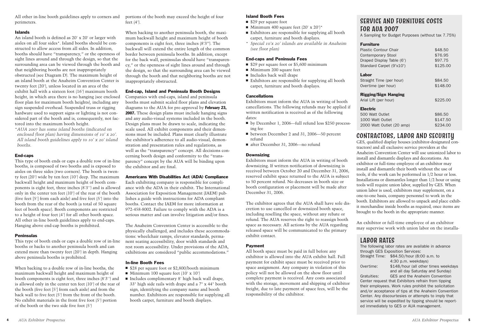#### **Islands**

An island booth is defined as 20' x 20' or larger with aisles on all four sides\*. Island booths should be constructed to allow access from all sides. In addition, booths should have "transparency," or the openness of sight lines around and through the design, so that the surrounding area can be viewed through the booth and that neighboring booths are not inappropriately obstructed (see Diagram D). The maximum height of an island booth at the Anaheim Convention Center is twenty feet (20'), unless located in an area of the exhibit hall with a sixteen foot (16') maximum booth height, in which area there is no hanging (see enclosed floor plan for maximum booth heights), including any sign suspended overhead. Suspended truss or rigging hardware used to support signs or lighting is not considered part of the booth and is, consequently, not factored into the maximum booth height.

\**AUA 2007 has some island booths (indicated on enclosed floor plan) having dimensions of 10' x 20'. All island booth guidelines apply to 10' x 20' island booths.*

#### **End-caps**

This type of booth ends or caps a double row of in-line booths, is composed of two booths and is exposed to aisles on three sides (two corners). The booth is twenty feet (20') wide by ten feet (10') deep. The maximum backwall height and maximum height of booth components is eight feet, three inches (8'3'') and is allowed only in the center ten feet (10') of the rear of the booth (five feet [5'] from each aisle) and five feet (5') into the booth from the rear of the booth (a total of 50 square feet of booth space). Booth components are restricted to a height of four feet (4') for all other booth space. All other in-line booth guidelines apply to end-caps. Hanging above end-cap booths is prohibited.

#### **Peninsulas**

This type of booth ends or caps a double row of in-line booths or backs to another peninsula booth and can extend more than twenty feet (20') in depth. Hanging above peninsula booths is prohibited.

When backing to a double row of in-line booths, the maximum backwall height and maximum height of booth components is eight feet, three inches (8'3'') and is allowed only in the center ten feet (10') of the rear of the booth (five feet [5'] from each aisle) and from the back wall to five feet (5') from the front of the booth. No exhibit materials in the front five foot (5') portion of the booth or the two side five foot (5')

- \$28 per square foot or \$2,800/booth minimum
- Minimum 100 square feet (10' x 10')
- Includes complimentary 8' high back wall drape, 33" high side rails with drape and a 7" x 44" booth sign, identifying the company name and booth number. Exhibitors are responsible for supplying all booth carpet, furniture and booth displays.

portions of the booth may exceed the height of four feet (4').

- \$29 per square foot
- Minimum 400 square feet  $(20' \times 20')^*$
- Exhibitors are responsible for supplying all booth carpet, furniture and booth displays.
- \* *Special 10'x 20' islands are available in Anaheim (see floor plan)*

- \$29 per square foot or \$5,600 minimum
- Minimum 200 square feet
- Includes back wall drape
- **■** Exhibitors are responsible for supplying all booth carpet, furniture and booth displays.

When backing to another peninsula booth, the maximum backwall height and maximum height of booth components is eight feet, three inches (8'3"). The backwall will extend the entire length of the common border between peninsula booths. In addition, except for the back wall, peninsulas should have "transparency," or the openness of sight lines around and through the design, so that the surrounding area can be viewed through the booth and that neighboring booths are not inappropriately obstructed.

#### **End-cap, Island and Peninsula Booth Designs**

Companies with end-caps, island and peninsula booths must submit scaled floor plans and elevation diagrams to the AUA for pre-approval by **February 23, 2007.** These design plans must include hanging signs and any audio-visual systems included in the booth. Design plans must be drawn to scale, indicating the scale used. All exhibit components and their dimensions must be included. Plans must clearly illustrate the exhibitor's adherence to all audio-visual, demonstration and presentation rules and regulations, as well as the "transparency" concept. All decisions concerning booth design and conformity to the "transparency" concept by the AUA will be binding upon the exhibitor and are final.

#### **Americans With Disabilities Act (ADA) Compliance**

Each exhibiting company is responsible for compliance with the ADA in their exhibit. The International Association for Exposition Management (IAEM) publishes a guide with instructions for ADA compliant booths. Contact the IAEM for more information at 972-458-8002. Failure to comply with the ADA is a serious matter and can involve litigation and/or fines.

The Anaheim Convention Center is accessible to the physically challenged, and includes these accommodations: wheelchair ramps, elevator standards, permanent seating accessibility, door width standards and rest room accessibility. Under provisions of the ADA, exhibitions are considered "public accommodations."

#### **In-line Booth Fees**

#### **Island Booth Fees**

#### **End-caps and Peninsula Fees**

#### **Cancellations**

Exhibitors must inform the AUA in writing of booth cancellations. The following refunds may be applied if written notification is received as of the following dates:

- by December 1, 2006—full refund less \$250 processing fee
- between December 2 and 31, 2006—50 percent refund
- after December 31, 2006—no refund

#### **Downsizing**

Exhibitors must inform the AUA in writing of booth downsizing. If written notification of downsizing is received between October 20 and December 31, 2006, reserved exhibit space returned to the AUA is subject to 50 percent refund. No decreases in booth size or booth configuration or placement will be made after December 31, 2006.

The exhibitor agrees that the AUA shall have sole discretion to use cancelled or downsized booth space, including reselling the space, without any rebate or refund. The AUA reserves the right to reassign booth space as necessary. All actions by the AUA regarding released space will be communicated to the primary exhibit contact.

#### **Payment**

All booth space must be paid in full before any exhibitor is allowed into the AUA exhibit hall. Full payment for exhibit space must be received prior to space assignment. Any company in violation of this policy will not be allowed on the show floor until complete payment is received. Any costs associated with the storage, movement and shipping of exhibitor freight, due to late payment of space fees, will be the responsibility of the exhibitor.

# CONTRACTORS, LABOR AND SECURITY

The fol through Straigh

**Overtir** 

Gratuiti Center their er and/or Center. service ed imm

GES, qualified display houses (exhibitor-designated contractors) and all exclusive service providers at the Anaheim Convention Center will use unionized labor to install and dismantle displays and decorations. An exhibitor or full-time employee of an exhibitor may install and dismantle their booth without the use of tools, if the work can be performed in 1/2 hour or less. Installations or dismantles longer than 1/2 hour or using tools will require union labor, supplied by GES. When union labor is used, exhibitors may supplement, on a one-to-one basis, company personnel to work in the booth. Exhibitors are allowed to unpack and place exhibit merchandise inside booths as required, once items are brought to the booth in the appropriate manner.

An exhibitor or full-time employee of an exhibitor may supervise work with union labor on the installa-

# SERVICE AND FURNITURE COSTS FOR AUA 2007

# **Furnitu**

A Sampling for Budget Purposes (without tax 7.75%)

#### **Labor**

Straight **Overtin** 

#### **Rigging**

## **Electri** 500 Wa 1000 \

| <b>Furniture</b>             |          |  |  |
|------------------------------|----------|--|--|
| <b>Plastic Contour Chair</b> | \$48.50  |  |  |
| <b>Contemporary Stool</b>    | \$76.95  |  |  |
| Draped Display Table (6')    | \$97.75  |  |  |
| Standard Carpet (9'x10')     | \$125.00 |  |  |
| Labor                        |          |  |  |
| Straight Time (per hour)     | \$84.50  |  |  |
| Overtime (per hour)          | \$148.00 |  |  |
| <b>Rigging/Sign Hanging</b>  |          |  |  |
| Arial Lift (per hour)        | \$225.00 |  |  |
| <b>Electric</b>              |          |  |  |
| 500 Watt Outlet              | \$86.50  |  |  |
| 1000 Watt Outlet             | \$147.50 |  |  |
| 2000 Watt Outlet (20 amp)    | \$234.00 |  |  |

## LABOR RATES

| lowing labor rates are available in advance    |  |  |  |  |
|------------------------------------------------|--|--|--|--|
| n GES Exposition Services:                     |  |  |  |  |
| \$84.50/hour (8:00 a.m. to                     |  |  |  |  |
| 4:30 p.m. weekdays)                            |  |  |  |  |
| \$148/hour (all other times weekdays           |  |  |  |  |
| and all day Saturday and Sunday)               |  |  |  |  |
| <b>GES and the Anaheim Convention</b>          |  |  |  |  |
| request that Exhibitors refrain from tipping   |  |  |  |  |
| mployees. Work rules prohibit the solicitation |  |  |  |  |
| acceptance of tips at the Anaheim Convention   |  |  |  |  |
| . Any discourtesies or attempts to imply that  |  |  |  |  |
| will be expedited by tipping should be report- |  |  |  |  |
| nediately to GES or AUA management.            |  |  |  |  |
|                                                |  |  |  |  |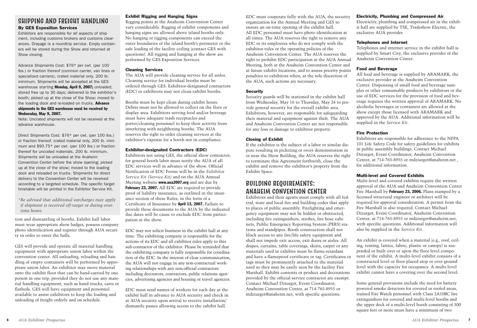EDC must cooperate fully with the AUA, the security organization for the Annual Meeting and GES to ensure an on-time opening of the exhibit hall. All EDC personnel must have photo identification at all times. The AUA reserves the right to remove any EDC or its employees who do not comply with the exhibitor rules or the operating policies of the Anaheim Convention Center. The AUA reserves the right to prohibit EDC participation at the AUA Annual Meeting, both at the Anaheim Convention Center and at future exhibit locations, and to assess priority points penalties to exhibitors when, at the sole discretion of the AUA, such actions are necessary.

#### **Security**

Security guards will be stationed in the exhibit hall from Wednesday, May 16 to Thursday, May 24 to provide general security for the overall exhibit area. Exhibitors, however, are responsible for safeguarding their material and equipment against theft. The AUA and Anaheim Convention Center are not responsible for any loss or damage to exhibitor property.

#### **Closing of Exhibit**

If the exhibitor is the subject of a labor or similar dispute resulting in picketing or overt demonstration in or near the Show Building, the AUA reserves the right to terminate this Agreement forthwith, close the exhibit and remove the exhibitor's property from the Exhibit Space.

# BUILDING REQUIREMENTS: ANAHEIM CONVENTION CENTER

Exhibitors and their agents must comply with all federal, state and local fire and building codes that apply to places of public assembly. Firefighting and emergency equipment may not be hidden or obstructed, including fire extinguishers, strobes, fire hose cabinets, Public Emergency Reporting System (PERS) stations and standpipes. Booth construction shall not block access to any fire/life safety equipment and shall not impede exit access, exit doors or aisles. All drapes, curtains, table coverings, skirts, carpet or any materials used in exhibits must be flame-retardant and have a flameproof certificate or tag. Certificates or tags must be prominently attached to the material used so they may be easily seen by the facility Fire Marshall. Exhibit contents or product and decorations provided by the official service contractor are exempt. Contact Michael Dziurgot, Event Coordinator, Anaheim Convention Center, at 714-765-8955 or mdziurgot@anaheim.net, with specific questions.

#### **Electricity, Plumbing and Compressed Air**

Electricity, plumbing and compressed air in the exhibit hall are supplied by TSE, Tradeshow Electric, the exclusive AUA provider.

#### **Telephones and Internet**

Telephones and internet service in the exhibit hall is supplied by Smart City, the exclusive provider of the Anaheim Convention Center.

#### **Food and Beverage**

All food and beverage is supplied by ARAMARK, the exclusive provider at the Anaheim Convention Center. Dispensing of small food and beverage samples or other consumable products by exhibitors or the use of EDC services for the provision of food and beverage requires the written approval of ARAMARK. No alcoholic beverages or containers are allowed at the show except those licensed with ARAMARK and approved by the AUA. Additional information will be supplied in the *Service Kit.*

# **Fire Protection**

Exhibitors are responsible for adherence to the NFPA 101 Life Safety Code for safety guidelines for exhibits in public assembly buildings. Contact Michael Dziurgot, Event Coordinator, Anaheim Convention Center, at 714-765-8955 or mdziurgot@anaheim.net , for additional information.

#### **Multi-level and Covered Exhibits**

Multi-level and covered exhibits require the written approval of the AUA and Anaheim Convention Center Fire Marshall by **February 23, 2006.** Plans stamped by a licensed structural engineer or architect will be required for approval consideration. A permit from the Fire Marshall is also required. Contact Michael Dziurgot, Event Coordinator, Anaheim Convention Center, at 714-765-8955 or mdziurgot@anaheim.net, with specific questions. Additional information will also be supplied in the *Service Kit.*

An exhibit is covered when a material (e.g., roof, ceiling, tenting, lattice, fabric, plastic or canopy) is suspended or built over or upon the floor level component of the exhibit. A multi-level exhibit consists of a constructed level or floor placed atop or over ground level with the capacity for occupancy. A multi-level exhibit cannot have a covering over the second level.

Some general provisions include the need for battery powered smoke detectors for covered or roofed areas, trained Fire Watch personnel with Class 2A10BC fire extinguishers for covered and multi-level booths and the upper deck of a multi-level booth consisting of 300 square feet or more must have a minimum of two

tion and dismantling of booths. Exhibit hall labor must wear appropriate show badges, possess company photo identification and register through AUA security in order to enter the halls.

GES will provide and operate all material handling equipment with appropriate union labor within the convention center. All unloading, reloading and handling of empty containers will be performed by appropriate union labor. An exhibitor may move material onto the exhibit floor that can be hand-carried by one person in one trip, provided they do not use any material handling equipment, such as hand trucks, carts or flatbeds. GES will have equipment and personnel available to assist exhibitors to keep the loading and unloading of freight orderly and on schedule.

#### **Exhibit Rigging and Hanging Signs**

Rigging points at the Anaheim Convention Center vary considerably. Rigging of exhibit components and hanging signs are allowed above island booths only. No hanging or rigging components can exceed the outer boundaries of the island booth's perimeter or the safe loading of the facility ceiling (contact GES with questions). All rigging and hanging at the show are performed by GES Exposition Services.

#### **Cleaning Services**

The AUA will provide cleaning service for all aisles. Cleaning service for individual booths must be ordered through GES. Exhibitor-designated contractors (EDC) or exhibitors may not clean exhibit booths.

Booths must be kept clean during exhibit hours. Debris must not be allowed to collect on the floor or display area. Exhibitors serving food and/or beverage must have adequate trash receptacles and porter/cleaning personnel to keep their activity from interfering with neighboring booths. The AUA reserves the right to order cleaning services at the exhibitor's expense for a booth not in compliance.

#### **Exhibitor-designated Contractors (EDC)**

Exhibitors not using GES, the official show contractor, for general booth labor must notify the AUA of all EDC services well in advance of the show. Official Notification of EDC Forms will be in the *Exhibitor Service Kit (Service Kit)* and on the AUA Annual Meeting website **www.aua2007.org** and are due by **February 23, 2007.** All EDC are required to provide proof of liability insurance, as outlined in the insurance section of these Rules, in the form of a Certificate of Insurance by **April 13, 2007.** Failure to provide these documents to the AUA by the indicated due dates will be cause to exclude EDC from participation at the show.

EDC may not solicit business in the exhibit hall at any time. The exhibiting company is responsible for the actions of its EDC and all exhibitor rules apply to this sub-contractor of the exhibitor. Please be reminded that the exhibiting company is fully responsible for coordination of the EDC. In the interest of clear communication, the AUA will not engage in any non-contractual working relationships with any non-official contractors including decorators, contractors, public relations agencies, advertising agencies and housing or travel agencies.

EDC must send names of workers for each day at the exhibit hall in advance to AUA security and check in at AUA security upon arrival to receive installation/ dismantle passes allowing access to the exhibit hall.

## SHIPPING AND FREIGHT HANDLING **By GES Exposition Services**

Exhibitors are responsible for all aspects of shipment, including customs brokers and customs clearances. Drayage is a roundtrip service. Empty containers will be stored during the Show and returned at Show closing.

Advance Shipments Cost: \$76\* per cwt. (per 100 lbs.) or fraction thereof (common carrier, van lines or specialized carriers), crated material only, 200 lb. minimum. Shipments will be accepted at the GES warehouse starting **Monday, April 9, 2007;** unloaded; stored free up to 30 days; delivered to the exhibitor's booth; picked up at the close of the Show; moved to the loading dock and re-loaded on trucks. **Advance shipments to the GES warehouse must be received by Wednesday, May 9, 2007.**

Note: Uncrated shipments will not be received at the advance warehouse.

Direct Shipments Cost: \$76\* per cwt. (per 100 lbs.) or fraction thereof, crated material only, 200 lb. minimum and \$90.75\* per cwt. (per 100 lbs.) or fraction thereof for uncrated materials, 200 lb. minimum. Shipments will be unloaded at the Anaheim Convention Center before the show opening; picked up at the close of the show; moved to the loading dock and reloaded on trucks. Shipments for direct delivery to the Convention Center will be received according to a targeted schedule. The specific target timetable will be printed in the Exhibitor Service Kit.

\**Be advised that additional surcharges may apply if shipment is received off-target or during overtime hours.*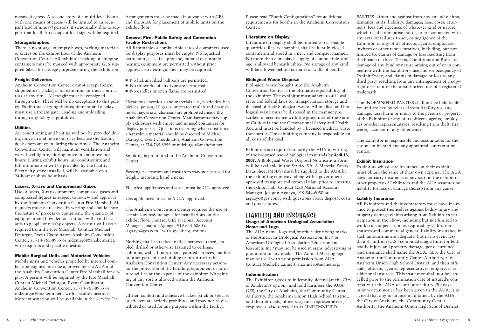Please read "Booth Configurations" for additional requirements for booths in the Anaheim Convention Center.

#### **Literature on Display**

Literature on display shall be limited to reasonable quantities. Reserve supplies shall be kept in closed containers and stored in a neat and compact manner. No more than a one day's supply of combustible storage is allowed beneath tables. No storage of any kind will be allowed behind curtains or walls of booths.

#### **Biological Waste Disposal**

Biological waste brought into the Anaheim Convention Center is the ultimate responsibility of the exhibitor. The exhibitor must adhere to all local, state and federal laws for transportation, storage and disposal of their biological waste. All medical and biological waste must be disposed in the manner prescribed in accordance with the guidelines of the State of California and the Occupational Safety and Health Act, and must be handled by a licensed medical waste transporter. The exhibiting company is responsible for all costs of disposal.

#### LIABILITY AND INSURANCE **Usage of American Urological Association Name and Logo**

Exhibitors are required to notify the AUA in writing of the proposed use of biological materials by **April 13, 2007.** A Biological Waste Disposal Notification Form will be available in the *Service Kit.* A Material Safety Data Sheet (MSDS) must be supplied to the AUA by the exhibiting company, along with a government approved transport and removal plan, prior to entering the exhibit hall. Contact GES National Account Manager, Joaquin Aguayo, 919-544-6050 or jaguayo@ges.com , with questions about disposal costs and proceedures.

The AUA name, logo and/or other identifying marks of the American Urological Association, Inc. ® or American Urological Association Education and Research, Inc. ®may not be used in signs, advertising or promotion in any media. The Annual Meeting logo may be used with prior permission from AUA. Contact Michelle Zinnert, mzinnert@auanet.org.

#### **Indemnification**

The Exhibitor agrees to indemnify, defend (at the City of Anaheim's option), and hold harmless the AUA, GES, the City of Anaheim, the Community Center Authority, the Anaheim Union High School District, and their officials, officers, agents, representatives, employees (also referred to as "INDEMNIFIED

PARTIES") from and against from any and all claims, demands, suits, liability, damages, loss, costs, attorneys' fees and expenses of whatever kind or nature, which result from, arise out of, or are connected with any acts, or failures to act, or negligence of the Exhibitor, or any of its officers, agents, employees, invitees or other representatives, including, but not limited to, claims of damage or loss resulting from the breach of these Terms, Conditions and Rules, or damage of any kind or nature arising out of or in connection with the Exhibitor's use and /or occupancy of Exhibit Space, and claims of damage or loss to any third party resulting from any infringement of a copyright or patent or the unauthorized use of a registered trademark.

The INDEMNIFIED PARTIES shall not be held liable for, and are hereby released from liability for, any damage, loss, harm or injury to the person or property of the Exhibitor or any of its officers, agents, employees or other representatives, resulting from theft, fire, water, accident or any other cause.

The Exhibitor is responsible and accountable for the actions of its staff and any appointed contractor or

vendor.

#### **Exhibit Insurance**

Exhibitors who desire insurance on their exhibits must obtain the same at their own expense. The AUA does not carry insurance of any sort on the exhibit or other property of Exhibitors and the AUA assumes no liability for loss or damage thereto from any cause.

#### **Liability Insurance**

All Exhibitors and their contractors must have insurance to protect themselves against bodily injury and property damage claims arising from Exhibitor's participation in the Show, including but not limited to worker's compensation as required by California statutes and commercial general liability insurance in such amounts as are adequate, but in no event less than \$1 million (U.S.) combined single limit for both bodily injury and property damage, per occurrence. Said insurance shall name the AUA, GES, the City of Anaheim, the Community Center Authority, the Anaheim Union High School District, and their officials, officers, agents, representatives, employees as additional insureds. This insurance shall not be cancelled prior to the termination date of insured's contract with the AUA or until after thirty (30) days prior written notice has been given to the AUA. It is agreed that any insurance maintained by the AUA, the City of Anaheim, the Community Center Authority, the Anaheim Union High School District

means of egress. A second story of a multi-level booth with one means of egress will be limited to an occupant load of nine (9) persons (if structurally able to support that load). An occupant load sign will be required.

#### **Storage/Empties**

There is no storage of empty boxes, packing materials or crates on the exhibit floor of the Anaheim Convention Center. All exhibitor packing or shipping containers must be marked with appropriate GES supplied labels for storage purposes during the exhibition.

#### **Freight Deliveries**

Anaheim Convention Center cannot accept freight shipments or packages for exhibitors or their contractors at any time. All freight must be consigned through GES. There will be no exceptions to this policy. Exhibitors carrying their equipment and displays must use a freight gate. Loading and unloading through any lobby is prohibited.

#### **Utilities**

Air conditioning and heating will not be provided during move-in and move-out days because the loading dock doors are open during these times. The Anaheim Convention Center will maintain ventilation and work level lighting during move-in and move-out hours. During exhibit hours, air conditioning and full illumination will be provided by the facility. Electricity, once installed, will be available on a 24-hour or show hour basis.

#### **Lasers, X-rays and Compressed Gases**

Use of lasers, X-ray equipment, compressed gases and compressed liquids is subject to review and approval by the Anaheim Convention Center Fire Marshall. All requests must be received in writing and should state the nature of process or equipment, the quantity of equipment and how demonstrations will avoid hazards to people or nearby objects. A permit will also be required from the Fire Marshall. Contact Michael Dziurgot, Event Coordinator, Anaheim Convention Center, at 714-765-8955 or mdziurgot@anaheim.net, with requests and specific questions.

#### **Mobile Surgical Units and Motorized Vehicles**

Mobile units and vehicles propelled by internal combustion engines must be approved by the AUA and the Anaheim Convention Center Fire Marshall for display. A permit will be required by the Fire Marshall. Contact Michael Dziurgot, Event Coordinator, Anaheim Convention Center, at 714-765-8955 or mdziurgot@anaheim.net , with specific questions. More information will be available in the *Service Kit.*

Arrangements must be made in advance with GES and the AUA for placement of mobile units on the exhibit floor.

#### **General Fire, Public Safety and Convention Facility Restrictions**

All flammable or combustible aerosol containers used for display purposes must be empty. No liquefied petroleum gases (i.e., propane, butane) or portable heating equipment are permitted without prior approval. Fire extinguishers may be required.

- No helium filled balloons are permitted.
- No fireworks of any type are permitted.
- No candles or open flame are permitted.

Hazardous chemicals and materials (i.e., pesticides, herbicides, poison, LP gases, untreated mulch and Spanish moss, hay, straw, charcoal) are prohibited inside the Anaheim Convention Center. Manufacturers may supply exhibitors with empty and unused containers for display purposes. Questions regarding what constitutes a hazardous material should be directed to Michael Dziurgot, Event Coordinator, Anaheim Convention Center, at 714-765-8955 or mdziurgot@anaheim.net.

Smoking is prohibited in the Anaheim Convention Center.

Passenger elevators and escalators may not be used for freight, including hand trucks.

Electrical appliances and cords must be U.L. approved.

Gas appliances must be A.G.A. approved.

The Anaheim Convention Center requires the use of certain low residue tapes for installations on the exhibit floor. Contact GES National Account Manager, Joaquin Aguayo, 919-544-6050 or jaguayo@ges.com , with specific questions.

Nothing shall be tacked, nailed, screwed, taped, stapled, drilled or otherwise fastened to ceilings, columns, walls, floors, doors, painted surfaces, marble or other parts of the building or furniture in the Anaheim Convention Center. Any necessary actions for the protection of the building, equipment or furniture will be at the expense of the exhibitor. No painting of any sort is allowed within the Anaheim Convention Center.

Glitter, confetti and adhesive-backed (stick-on) decals or stickers are strictly prohibited and may not be distributed or used for any purpose within the facility.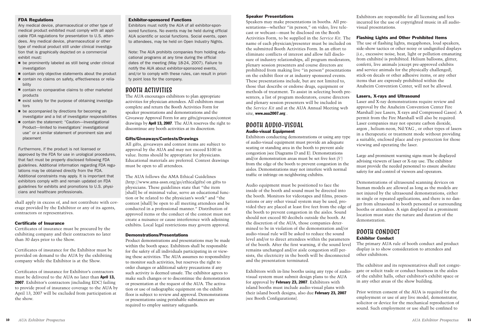#### **Speaker Presentations**

Speakers may make presentations in booths. All presentations—whether "in person," on video, live telecast or webcast—must be disclosed on the Booth Activities Form, to be supplied in the *Service Kit.* The name of each physician/presenter must be included on the submitted Booth Activities Form. In an effort to eliminate conflicts of interest and allow full disclosure of industry relationships, all program moderators, plenary session presenters and course directors are prohibited from making live "in person" presentations on the exhibit floor or at industry sponsored events. These presentations include, but are not limited to, those that describe or endorse drugs, equipment or methods of treatment. To assist in selecting booth presenters, a list of program moderators, course directors and plenary session presenters will be included in the *Service Kit* and at the AUA Annual Meeting web site, **www.aua2007.org** .

### BOOTH AUDIO-VISUAL **Audio-visual Equipment**

Exhibitors conducting demonstrations or using any type of audio-visual equipment must provide an adequate seating or standing area in the booth to prevent aisle congestion (see Diagrams D and E). Demonstrations and/or demonstration areas must be set five feet (5') from the edge of the booth to prevent congestion in the aisles. Demonstrations may not interfere with normal traffic or infringe on neighboring exhibits.

Audio equipment must be positioned to face the inside of the booth and sound must be directed into the booth. Monitors for videotapes and films, presentations or any other visual system may be used, provided they are placed at least five feet from the edge of the booth to prevent congestion in the aisles. Sound should not exceed 80 decibels outside the booth. At the discretion of the AUA, those companies determined to be in violation of the demonstration and/or audio-visual rule will be asked to reduce the sound level and/or to direct attendees within the parameters of the booth. After the first warning, if the sound level remains unchanged and/or aisle congestion still persists, the electricity in the booth will be disconnected and the presentation terminated.

Exhibitors with in-line booths using any type of audiovisual system must submit design plans to the AUA for approval by **February 23, 2007**. Exhibitors with island booths must include audio-visual plans with their island booth designs, also due **February 23, 2007** (see Booth Configurations).

Exhibitors are responsible for all licensing and fees incurred for the use of copyrighted music in all audiovisual presentations.

#### **Flashing Lights and Other Prohibited Items**

The use of flashing lights, megaphones, loud speakers, side-show tactics or other noisy or undignified displays (i.e., excessive noise, heat, light or pollution emanating from exhibits) is prohibited. Helium balloons, glitter, confetti, live animals (except pre-approved exhibits and service animals for the physically challenged), stick-on decals or other adhesive items, or any other items that are expressly prohibited within the Anaheim Convention Center, will not be allowed.

#### **Lasers, X-rays and Ultrasound**

Laser and X-ray demonstrations require review and approval by the Anaheim Convention Center Fire Marshall (see Lasers, X-rays and Compressed Gases). A permit from the Fire Marshall will also be required. Laser companies may not operate carbon dioxide, argon , helium-neon, Nd:YAG , or other types of lasers in a therapeutic or treatment mode without providing a suitable, enclosed place and eye protection for those viewing and operating the laser.

Large and prominent warning signs must be displayed advising viewers of laser or X-ray use. The exhibitor must provide the needed personnel to ensure absolute safety for and control of viewers and operators.

Demonstrations of ultrasound scanning devices on human models are allowed as long as the models are not injured by the ultrasound demonstrations, either in single or repeated applications, and there is no danger from ultrasound to booth personnel or surrounding booths or attendees. A sign displayed in a prominent location must state the nature and duration of the demonstration.

- be prominently labeled as still being under clinical investigation
- contain only objective statements about the product
- contain no claims on safety, effectiveness or reliability
- contain no comparative claims to other marketed products
- exist solely for the purpose of obtaining investigators
- be accompanied by directions for becoming an investigator and a list of investigator responsibilities
- contain the statement: "Caution—Investigational Product—limited to investigators' investigational use" or a similar statement of prominent size and placement

## BOOTH CONDUCT **Exhibitor Conduct**

The primary AUA rule of booth conduct and product display is to show consideration to attendees and other exhibitors.

The exhibitor and its representatives shall not congregate or solicit trade or conduct business in the aisles of the exhibit halls, other exhibitor's exhibit space or in any other areas of the show building.

Prior written consent of the AUA is required for the employment or use of any live model, demonstrator, solicitor or device for the mechanical reproduction of sound. Such employment or use shall be confined to

shall apply in excess of, and not contribute with coverage provided by the Exhibitor or any of its agents, contractors or representatives.

#### **Certificate of Insurance**

Certificates of insurance must be procured by the exhibiting company and their contractors no later than 30 days prior to the Show.

Certificates of insurance for the Exhibitor must be provided on demand to the AUA by the exhibiting company while the Exhibitor is at the Show.

Certificates of insurance for Exhibitor's contractors must be delivered to the AUA no later than **April 13, 2007**. Exhibitor's contractors (including EDC) failing to provide proof of insurance coverage to the AUA by April 13, 2007 will be excluded from participation at the show.

## BOOTH ACTIVITIES

The AUA encourages exhibitors to plan appropriate activities for physician attendees. All exhibitors must complete and return the Booth Activities Form for speaker presentations and demonstrations and the Giveaway Approval Form for any gifts/giveaways/contest drawings by **April 13, 2007**. The AUA reserves the right to discontinue any booth activities at its discretion.

#### **Gifts/Giveaways/Contests/Drawings**

All gifts, giveaways and contest items are subject to approval by the AUA and may not exceed \$100 in value. Items should be appropriate for physicians. Educational materials are preferred. Contest drawings must be open to all attendees.

The AUA follows the AMA Ethical Guidelines (http://www.ama-assn.org/go/ethicalgifts) on gifts to physicians. These guidelines state that "the item [shall] be of minimal value, serve an educational function or be related to the physician's work" and "the contest [shall] be open to all meeting attendees and be conducted in a professional manner." Distribution of approved items or the conduct of the contest must not create a nuisance or cause interference with adjoining exhibits. Local legal restrictions may govern approval.

#### **Demonstrations/Presentations**

Product demonstrations and presentations may be made within the booth space. Exhibitors shall be responsible for the safety of all individuals participating in or viewing these activities. The AUA assumes no responsibility to monitor such activities, but reserves the right to order changes or additional safety precautions if any such activity is deemed unsafe. The exhibitor agrees to make such changes or to discontinue the demonstration or presentation at the request of the AUA. The activation or use of radiographic equipment on the exhibit floor is subject to review and approval. Demonstrations or presentations using perishable substances are required to employ sanitary safeguards.

#### **FDA Regulations**

Any medical device, pharmaceutical or other type of medical product exhibited must comply with all applicable FDA regulations for presentation to U.S. attendees. Any medical device, pharmaceutical or other type of medical product still under clinical investigation that is graphically depicted on a commercial exhibit must:

Furthermore, if the product is not licensed or approved by the FDA for use in urological procedures, that fact must be properly disclosed following FDA guidelines. Additional information regarding FDA regulations may be obtained directly from the FDA. Additional constraints may apply. It is important that exhibitors comply with and remain updated on FDA guidelines for exhibits and promotions to U.S. physicians and healthcare professionals.

#### **Exhibitor-sponsored Functions**

Exhibitors must notify the AUA of all exhibitor-sponsored functions. No events may be held during official AUA scientific or social functions. Social events, open to attendees, may be held on Open Industry Nights.

Note: The AUA prohibits companies from holding educational programs at any time during the official dates of the meeting (May 18-24, 2007). Failure to notify the AUA about exhibitor-sponsored events, and/or to comply with these rules, can result in priority point loss for the company.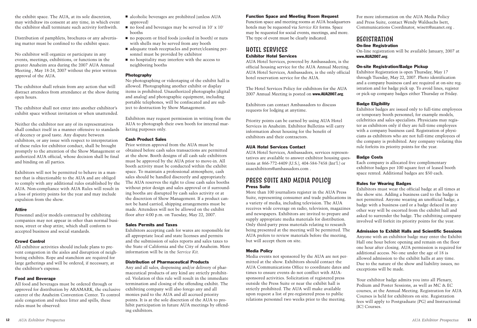#### **Function Space and Meeting Room Request**

Function space and meeting rooms at AUA headquarters hotels may be requested via *Service Kit* forms. Space may be requested for social events, meetings, and more. The type of event must be clearly indicated.

## HOTEL SERVICES **Exhibitor Hotel Services**

AUA Hotel Services, powered by Ambassadors, is the official housing service for the AUA Annual Meeting. AUA Hotel Services, Ambassadors, is the only official hotel reservation service for the AUA.

The Hotel Services Policy for exhibitors for the AUA 2007 Annual Meeting is posted on **www.AUA2007.org**.

### PRESS SUITE AND MEDIA POLICY **Press Suite**

Exhibitors can contact Ambassadors to discuss requests for lodging at anytime.

Priority points can be earned by using AUA Hotel Services in Anaheim. Exhibitor Bulletins will carry information about housing for the benefit of exhibitors and their contractors.

#### **AUA Hotel Services Contact**

AUA Hotel Services, Ambassadors, services representatives are available to answer exhibitor housing questions at 866-772-4409 (U.S.), 404-584-7458 (Int'l.) or auaexhibitors@ambassadors.com .

More than 100 journalists register in the AUA Press Suite, representing consumer and trade publications in a variety of media, including television. The AUA receives wide coverage on radio, television, magazines and newspapers. Exhibitors are invited to prepare and supply appropriate media materials for distribution. Only third-party press materials relating to research being presented at the meeting will be permitted. The AUA prefers to review materials before the meeting, but will accept them on site.

#### **Media Policy**

Media events not sponsored by the AUA are not permitted at the show. Exhibitors should contact the AUA Communications Office to coordinate dates and times to ensure events do not conflict with AUAsponsored activities. Solicitation of registered press outside the Press Suite or near the exhibit hall is strictly prohibited. The AUA will make available upon request a list of pre-registered press to public relations personnel two weeks prior to the meeting.

For more information on the AUA Media Policy and Press Suite, contact Wendy Waldsachs Isett, Communications Coordinator, wisett@auanet.org .

## REGISTRATION **On-line Registration www.AUA2007.org**.

On-line registration will be available January, 2007 at

#### **On-site Registration/Badge Pickup**

Exhibitor Registration is open Thursday, May 17 through Tuesday, May 22, 2007. Photo identification and a company business card are required at on-site registration and for badge pick up. To avoid lines, register or pick-up company badges either Thursday or Friday.

## **Badge Eligibility**

Exhibitor badges are issued only to full-time employees or temporary booth personnel; for example models, celebrities and sales specialists. Physicians may register as exhibitors only if they are full-time employees with a company business card. Registration of physicians as exhibitors who are not full-time employees of the company is prohibited. Any company violating this rule forfeits its priority points for the year.

## **Badge Costs**

Each company is allocated five complimentary exhibitor badges per 100 square feet of leased booth space rented. Additional badges are \$50 each.

#### **Rules for Wearing Badges**

- alcoholic beverages are prohibited (unless AUA approved)
- no food and beverages may be served in 10' x 10' booths
- no popcorn or fried foods (cooked in booth) or nuts with shells may be served from any booth
- adequate trash receptacles and porter/cleaning personnel must be provided by exhibitor
- no hospitality may interfere with the access to neighboring booths

Exhibitors must wear the official badge at all times at the show site. Adding a business card to the badge is not permitted. Anyone wearing an unofficial badge, a badge with a business card or a badge defaced in any other way will be escorted from the exhibit hall and asked to surrender the badge. The exhibiting company involved will forfeit its priority points for the year.

**Admission to Exhibit Halls and Scientific Sessions**

Anyone with an exhibitor badge may enter the Exhibit Hall one hour before opening and remain on the floor one hour after closing. AUA permission is required for additional access. No one under the age of 18 is allowed admission to the exhibit halls at any time. Due to the nature of the show and liability issues, no exceptions will be made.

Your exhibitor badge admits you into all Plenary, Podium and Poster Sessions, as well as MC & EC courses, at the Annual Meeting. Registration for AUA Courses is held for exhibitors on site. Registration fees will apply to Postgraduate (PG) and Instructional (IC) Courses.

the exhibit space. The AUA, at its sole discretion, may withdraw its consent at any time, in which event the exhibitor shall terminate such activity forthwith.

Distribution of pamphlets, brochures or any advertising matter must be confined to the exhibit space.

No exhibitor will organize or participate in any events, meetings, exhibitions, or functions in the greater Anaheim area during the 2007 AUA Annual Meeting , May 18-24, 2007 without the prior written approval of the AUA.

The exhibitor shall refrain from any action that will distract attendees from attendance at the show during open hours.

The exhibitor shall not enter into another exhibitor's exhibit space without invitation or when unattended.

Neither the exhibitor nor any of its representatives shall conduct itself in a manner offensive to standards of decency or good taste. Any dispute between exhibitors, or any issue with respect to interpretation of these rules for exhibitor conduct, shall be brought promptly to the attention of the Show Management or authorized AUA official, whose decision shall be final and binding on all parties.

Exhibitors will not be permitted to behave in a manner that is objectionable to the AUA and are obliged to comply with any additional rules established by the AUA. Non-compliance with AUA Rules will result in a loss of priority points for the year and may include expulsion from the show.

#### **Attire**

Personnel and/or models contracted by exhibiting companies may not appear in other than normal business, street or shop attire, which shall conform to accepted business and social standards.

#### **Crowd Control**

All exhibitor activities should include plans to prevent congestion in the aisles and disruption of neighboring exhibits. Rope and stanchion are required for large gatherings and will be ordered, if necessary, at the exhibitor's expense.

#### **Food and Beverage**

All food and beverages must be ordered through or approved for distribution by ARAMARK, the exclusive caterer of the Anaheim Convention Center. To control aisle congestion and reduce litter and spills, these rules must be observed:

#### **Photography**

No photographing or videotaping of the exhibit hall is allowed. Photographing another exhibit or display items is prohibited. Unauthorized photographs (digital and analog) and photographic equipment, including portable telephones, will be confiscated and are subject to destruction by Show Management.

Exhibitors may request permission in writing from the AUA to photograph their own booth for internal marketing purposes only.

#### **Cash Product Sales**

Prior written approval from the AUA must be obtained before cash sales transactions are permitted at the show. Booth designs of all cash sale exhibitors must be approved by the AUA prior to move-in. All booth activity must be conducted within the exhibit space. To maintain a professional atmosphere, cash sales should be handled discreetly and appropriately. The AUA reserves the right to close cash sales booths without prior design and sales approval or if surrounding booths are disrupted by cash sales activity or at the discretion of Show Management. If a product cannot be hand carried, shipping arrangements must be made. Attendees will not be allowed on the exhibit floor after 4:00 p.m. on Tuesday, May 22, 2007.

#### **Sales Permits and Taxes**

Exhibitors accepting cash for wares are responsible for all appropriate local and state licenses and permits and the submission of sales reports and sales taxes to the State of California and the City of Anaheim. More information will be in the *Service Kit.*

#### **Distribution of Pharmaceutical Products**

Any and all sales, dispensing and/or delivery of pharmaceutical products of any kind are strictly prohibited. Violation of this rule will result in the immediate termination and closing of the offending exhibit. The exhibiting company will also forego any and all monies paid to the AUA and all accrued priority points. It is at the sole discretion of the AUA to prohibit participation in future AUA meetings by offending exhibitors.